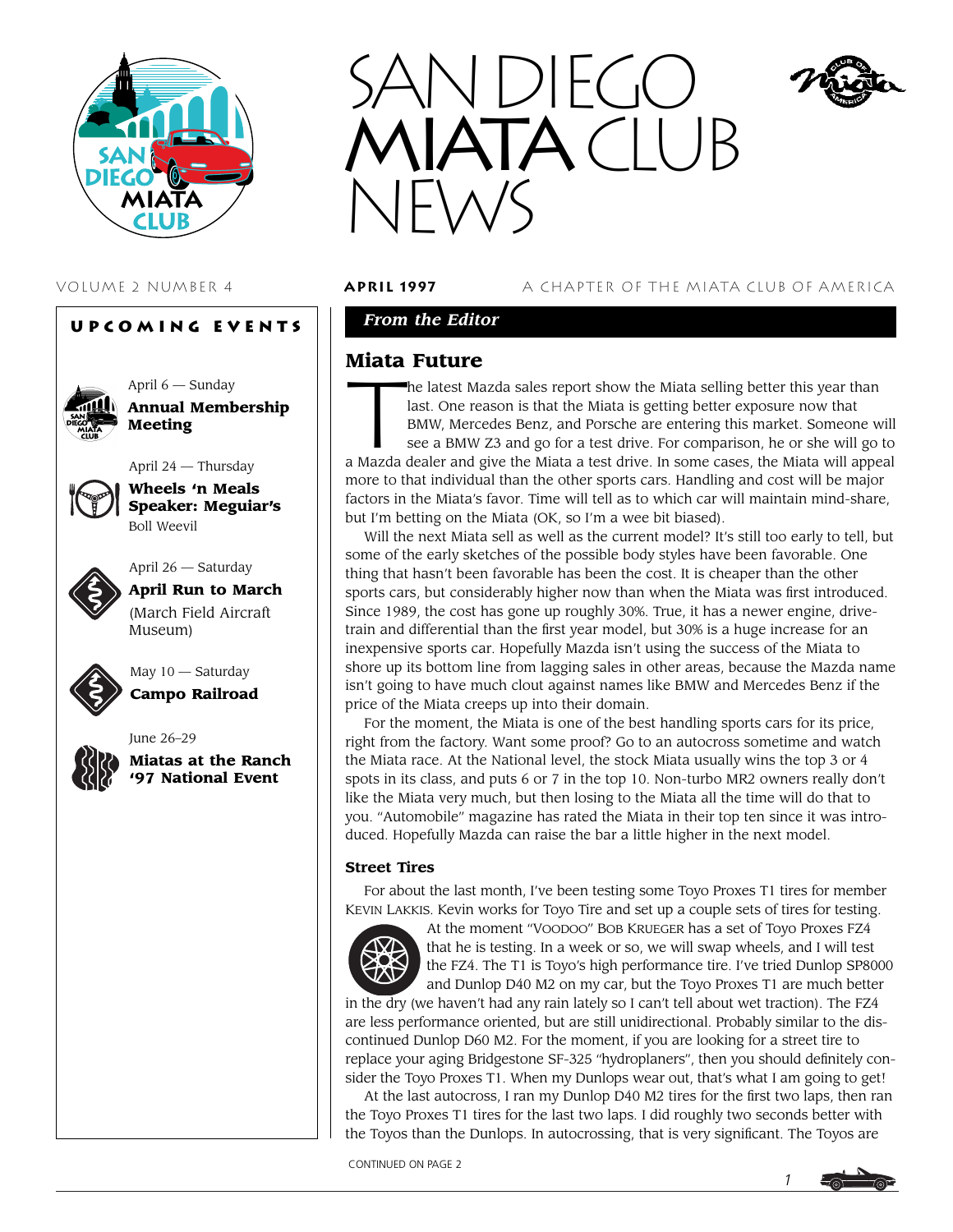

# **Upcoming Events**

![](_page_0_Picture_3.jpeg)

April 6 — Sunday **Annual Membership Meeting**

April 24 — Thursday

![](_page_0_Picture_6.jpeg)

**Wheels 'n Meals Speaker: Meguiar's** Boll Weevil

![](_page_0_Picture_8.jpeg)

April 26 — Saturday

**April Run to March** (March Field Aircraft Museum)

![](_page_0_Picture_11.jpeg)

May 10 — Saturday **Campo Railroad**

![](_page_0_Picture_13.jpeg)

June 26–29 **Miatas at the Ranch '97 National Event**

![](_page_0_Picture_15.jpeg)

VOLUME 2 NUMBER 4 **april 1997** A CHAPTER OF THE MIATA CLUB OF AMERICA

# *From the Editor*

# **Miata Future**

**Miata Future**<br>
The latest Mazda sales report show the Miata selling better this year than<br>
last. One reason is that the Miata is getting better exposure now that<br>
BMW, Mercedes Benz, and Porsche are entering this market. last. One reason is that the Miata is getting better exposure now that BMW, Mercedes Benz, and Porsche are entering this market. Someone will see a BMW Z3 and go for a test drive. For comparison, he or she will go to

a Mazda dealer and give the Miata a test drive. In some cases, the Miata will appeal more to that individual than the other sports cars. Handling and cost will be major factors in the Miata's favor. Time will tell as to which car will maintain mind-share, but I'm betting on the Miata (OK, so I'm a wee bit biased).

Will the next Miata sell as well as the current model? It's still too early to tell, but some of the early sketches of the possible body styles have been favorable. One thing that hasn't been favorable has been the cost. It is cheaper than the other sports cars, but considerably higher now than when the Miata was first introduced. Since 1989, the cost has gone up roughly 30%. True, it has a newer engine, drivetrain and differential than the first year model, but 30% is a huge increase for an inexpensive sports car. Hopefully Mazda isn't using the success of the Miata to shore up its bottom line from lagging sales in other areas, because the Mazda name isn't going to have much clout against names like BMW and Mercedes Benz if the price of the Miata creeps up into their domain.

For the moment, the Miata is one of the best handling sports cars for its price, right from the factory. Want some proof? Go to an autocross sometime and watch the Miata race. At the National level, the stock Miata usually wins the top 3 or 4 spots in its class, and puts 6 or 7 in the top 10. Non-turbo MR2 owners really don't like the Miata very much, but then losing to the Miata all the time will do that to you. "Automobile" magazine has rated the Miata in their top ten since it was introduced. Hopefully Mazda can raise the bar a little higher in the next model.

## **Street Tires**

For about the last month, I've been testing some Toyo Proxes T1 tires for member KEVIN LAKKIS. Kevin works for Toyo Tire and set up a couple sets of tires for testing.

![](_page_0_Picture_26.jpeg)

At the moment "VOODOO" BOB KRUEGER has a set of Toyo Proxes FZ4 that he is testing. In a week or so, we will swap wheels, and I will test the FZ4. The T1 is Toyo's high performance tire. I've tried Dunlop SP8000 and Dunlop D40 M2 on my car, but the Toyo Proxes T1 are much better

in the dry (we haven't had any rain lately so I can't tell about wet traction). The FZ4 are less performance oriented, but are still unidirectional. Probably similar to the discontinued Dunlop D60 M2. For the moment, if you are looking for a street tire to replace your aging Bridgestone SF-325 "hydroplaners", then you should definitely consider the Toyo Proxes T1. When my Dunlops wear out, that's what I am going to get!

At the last autocross, I ran my Dunlop D40 M2 tires for the first two laps, then ran the Toyo Proxes T1 tires for the last two laps. I did roughly two seconds better with the Toyos than the Dunlops. In autocrossing, that is very significant. The Toyos are

CONTINUED ON PAGE 2

![](_page_0_Picture_31.jpeg)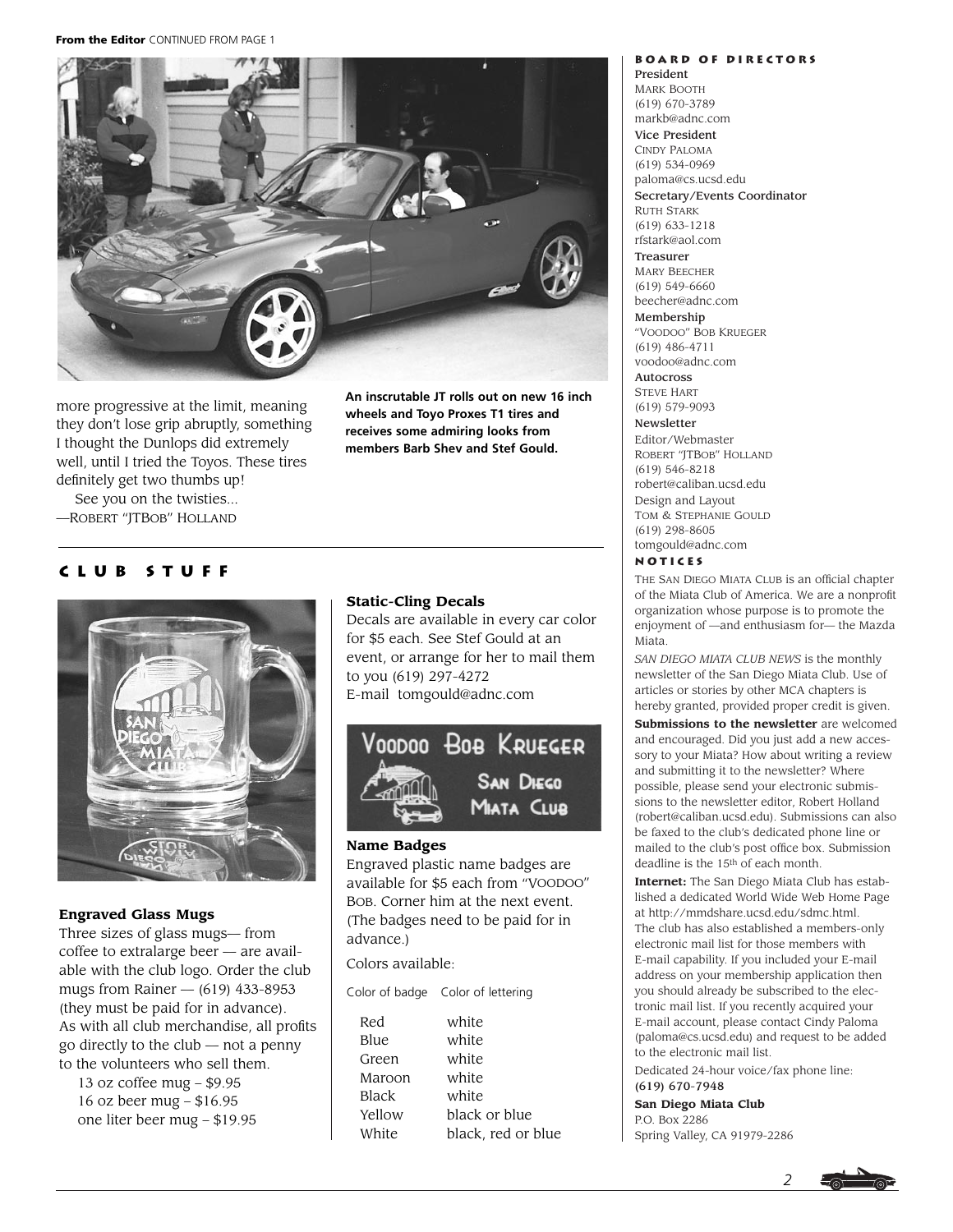**From the Editor** CONTINUED FROM PAGE 1

![](_page_1_Picture_1.jpeg)

more progressive at the limit, meaning they don't lose grip abruptly, something I thought the Dunlops did extremely well, until I tried the Toyos. These tires definitely get two thumbs up!

**An inscrutable JT rolls out on new 16 inch wheels and Toyo Proxes T1 tires and receives some admiring looks from members Barb Shev and Stef Gould.**

See you on the twisties... —ROBERT "JTBOB" HOLLAND

## **Club Stuff**

![](_page_1_Picture_6.jpeg)

## **Engraved Glass Mugs**

Three sizes of glass mugs— from coffee to extralarge beer — are available with the club logo. Order the club mugs from Rainer  $-$  (619) 433-8953 (they must be paid for in advance). As with all club merchandise, all profits go directly to the club — not a penny to the volunteers who sell them.

13 oz coffee mug – \$9.95 16 oz beer mug – \$16.95 one liter beer mug – \$19.95

## **Static-Cling Decals**

Decals are available in every car color for \$5 each. See Stef Gould at an event, or arrange for her to mail them to you (619) 297-4272 E-mail tomgould@adnc.com

![](_page_1_Picture_12.jpeg)

## **Name Badges**

Engraved plastic name badges are available for \$5 each from "VOODOO" BOB. Corner him at the next event. (The badges need to be paid for in advance.)

Colors available:

Color of badge Color of lettering

| Red    | white              |
|--------|--------------------|
| Blue   | white              |
| Green  | white              |
| Maroon | white              |
| Black  | white              |
| Yellow | black or blue      |
| White  | black, red or blue |
|        |                    |

#### **Board of Directors** President

MARK BOOTH (619) 670-3789 markb@adnc.com Vice President CINDY PALOMA (619) 534-0969 paloma@cs.ucsd.edu

Secretary/Events Coordinator

RUTH STARK (619) 633-1218 rfstark@aol.com

Treasurer MARY BEECHER (619) 549-6660 beecher@adnc.com Membership

"VOODOO" BOB KRUEGER (619) 486-4711 voodoo@adnc.com

Autocross STEVE HART

(619) 579-9093 Newsletter

Editor/Webmaster ROBERT "JTBOB" HOLLAND (619) 546-8218 robert@caliban.ucsd.edu Design and Layout TOM & STEPHANIE GOULD (619) 298-8605 tomgould@adnc.com

#### **Notices**

THE SAN DIEGO MIATA CLUB is an official chapter of the Miata Club of America. We are a nonprofit organization whose purpose is to promote the enjoyment of —and enthusiasm for— the Mazda Miata.

*SAN DIEGO MIATA CLUB NEWS* is the monthly newsletter of the San Diego Miata Club. Use of articles or stories by other MCA chapters is hereby granted, provided proper credit is given. **Submissions to the newsletter** are welcomed and encouraged. Did you just add a new accessory to your Miata? How about writing a review and submitting it to the newsletter? Where possible, please send your electronic submissions to the newsletter editor, Robert Holland (robert@caliban.ucsd.edu). Submissions can also be faxed to the club's dedicated phone line or

mailed to the club's post office box. Submission deadline is the 15th of each month. **Internet:** The San Diego Miata Club has established a dedicated World Wide Web Home Page

at http://mmdshare.ucsd.edu/sdmc.html. The club has also established a members-only electronic mail list for those members with E-mail capability. If you included your E-mail address on your membership application then you should already be subscribed to the electronic mail list. If you recently acquired your E-mail account, please contact Cindy Paloma (paloma@cs.ucsd.edu) and request to be added to the electronic mail list.

Dedicated 24-hour voice/fax phone line:

## (619) 670-7948

**San Diego Miata Club** P.O. Box 2286 Spring Valley, CA 91979-2286

![](_page_1_Picture_35.jpeg)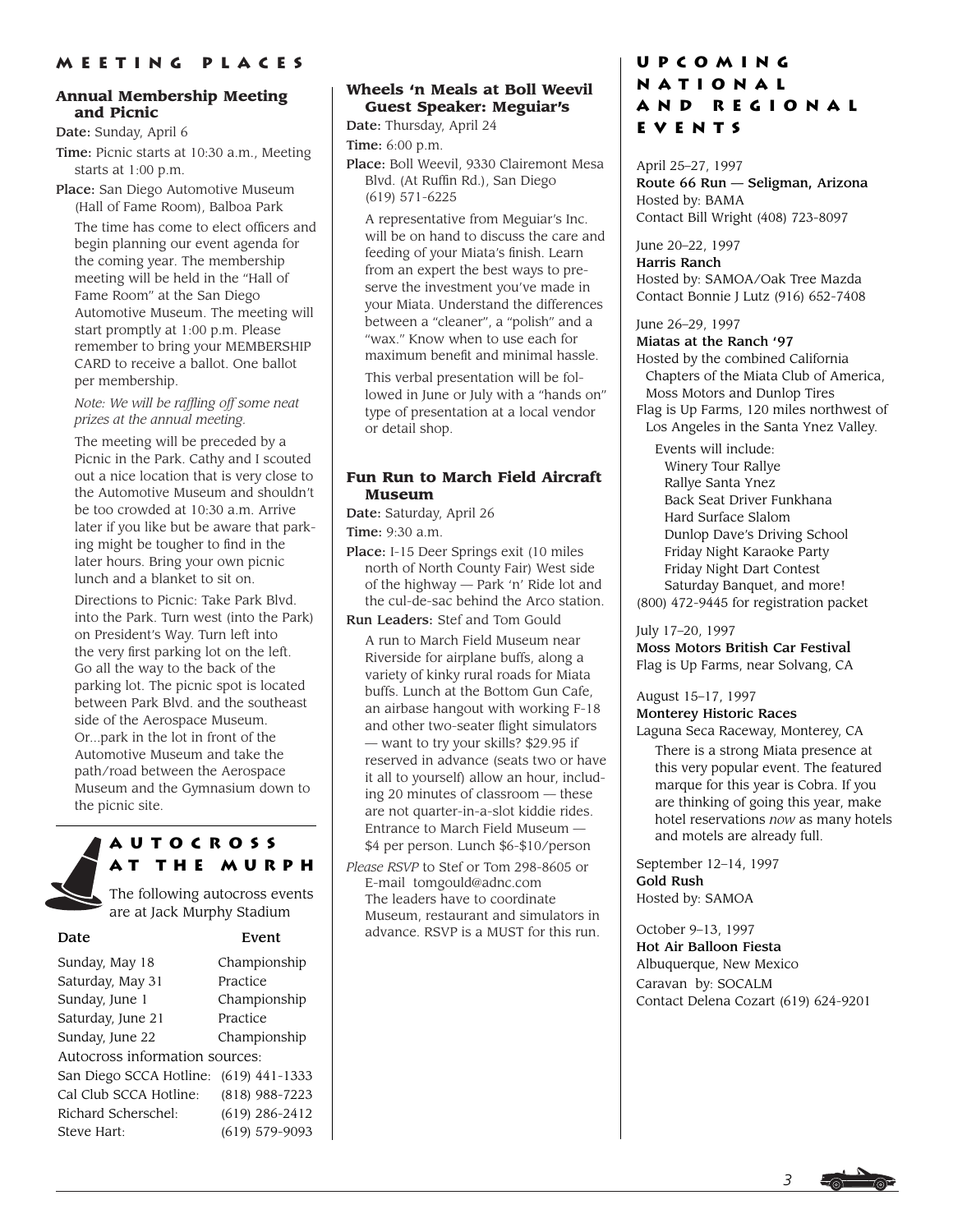## **Annual Membership Meeting and Picnic**

Date: Sunday, April 6

Time: Picnic starts at 10:30 a.m., Meeting starts at 1:00 p.m.

Place: San Diego Automotive Museum (Hall of Fame Room), Balboa Park

The time has come to elect officers and begin planning our event agenda for the coming year. The membership meeting will be held in the "Hall of Fame Room" at the San Diego Automotive Museum. The meeting will start promptly at 1:00 p.m. Please remember to bring your MEMBERSHIP CARD to receive a ballot. One ballot per membership.

*Note: We will be raffling off some neat prizes at the annual meeting.*

The meeting will be preceded by a Picnic in the Park. Cathy and I scouted out a nice location that is very close to the Automotive Museum and shouldn't be too crowded at 10:30 a.m. Arrive later if you like but be aware that parking might be tougher to find in the later hours. Bring your own picnic lunch and a blanket to sit on.

Directions to Picnic: Take Park Blvd. into the Park. Turn west (into the Park) on President's Way. Turn left into the very first parking lot on the left. Go all the way to the back of the parking lot. The picnic spot is located between Park Blvd. and the southeast side of the Aerospace Museum. Or...park in the lot in front of the Automotive Museum and take the path/road between the Aerospace Museum and the Gymnasium down to the picnic site.

![](_page_2_Picture_9.jpeg)

**Autocross at the Murph**

The following autocross events are at Jack Murphy Stadium

Event Sunday, May 18 Championship Saturday, May 31 Practice Sunday, June 1 Championship Saturday, June 21 Practice Sunday, June 22 Championship Autocross information sources: San Diego SCCA Hotline: (619) 441-1333 Cal Club SCCA Hotline: (818) 988-7223 Richard Scherschel: (619) 286-2412 Steve Hart: (619) 579-9093

## **Wheels 'n Meals at Boll Weevil Guest Speaker: Meguiar's**

Date: Thursday, April 24 Time: 6:00 p.m.

Place: Boll Weevil, 9330 Clairemont Mesa Blvd. (At Ruffin Rd.), San Diego (619) 571-6225

A representative from Meguiar's Inc. will be on hand to discuss the care and feeding of your Miata's finish. Learn from an expert the best ways to preserve the investment you've made in your Miata. Understand the differences between a "cleaner", a "polish" and a "wax." Know when to use each for maximum benefit and minimal hassle.

This verbal presentation will be followed in June or July with a "hands on" type of presentation at a local vendor or detail shop.

## **Fun Run to March Field Aircraft Museum**

Date: Saturday, April 26 Time: 9:30 a.m.

Place: I-15 Deer Springs exit (10 miles north of North County Fair) West side of the highway — Park 'n' Ride lot and the cul-de-sac behind the Arco station.

Run Leaders: Stef and Tom Gould

A run to March Field Museum near Riverside for airplane buffs, along a variety of kinky rural roads for Miata buffs. Lunch at the Bottom Gun Cafe, an airbase hangout with working F-18 and other two-seater flight simulators — want to try your skills? \$29.95 if reserved in advance (seats two or have it all to yourself) allow an hour, including 20 minutes of classroom — these are not quarter-in-a-slot kiddie rides. Entrance to March Field Museum — \$4 per person. Lunch \$6-\$10/person

*Please RSVP* to Stef or Tom 298-8605 or E-mail tomgould@adnc.com The leaders have to coordinate Museum, restaurant and simulators in advance. RSVP is a MUST for this run.

# **Upcoming National and Regional Events**

April 25–27, 1997 Route 66 Run — Seligman, Arizona Hosted by: BAMA Contact Bill Wright (408) 723-8097

June 20–22, 1997 Harris Ranch Hosted by: SAMOA/Oak Tree Mazda Contact Bonnie J Lutz (916) 652-7408

June 26–29, 1997

Miatas at the Ranch '97

Hosted by the combined California Chapters of the Miata Club of America, Moss Motors and Dunlop Tires Flag is Up Farms, 120 miles northwest of Los Angeles in the Santa Ynez Valley.

Events will include: Winery Tour Rallye Rallye Santa Ynez Back Seat Driver Funkhana Hard Surface Slalom Dunlop Dave's Driving School Friday Night Karaoke Party Friday Night Dart Contest Saturday Banquet, and more! (800) 472-9445 for registration packet

July 17–20, 1997 Moss Motors British Car Festival Flag is Up Farms, near Solvang, CA

August 15–17, 1997 Monterey Historic Races

Laguna Seca Raceway, Monterey, CA

There is a strong Miata presence at this very popular event. The featured marque for this year is Cobra. If you are thinking of going this year, make hotel reservations *now* as many hotels and motels are already full.

September 12–14, 1997 Gold Rush Hosted by: SAMOA

October 9–13, 1997 Hot Air Balloon Fiesta Albuquerque, New Mexico Caravan by: SOCALM Contact Delena Cozart (619) 624-9201

![](_page_2_Picture_38.jpeg)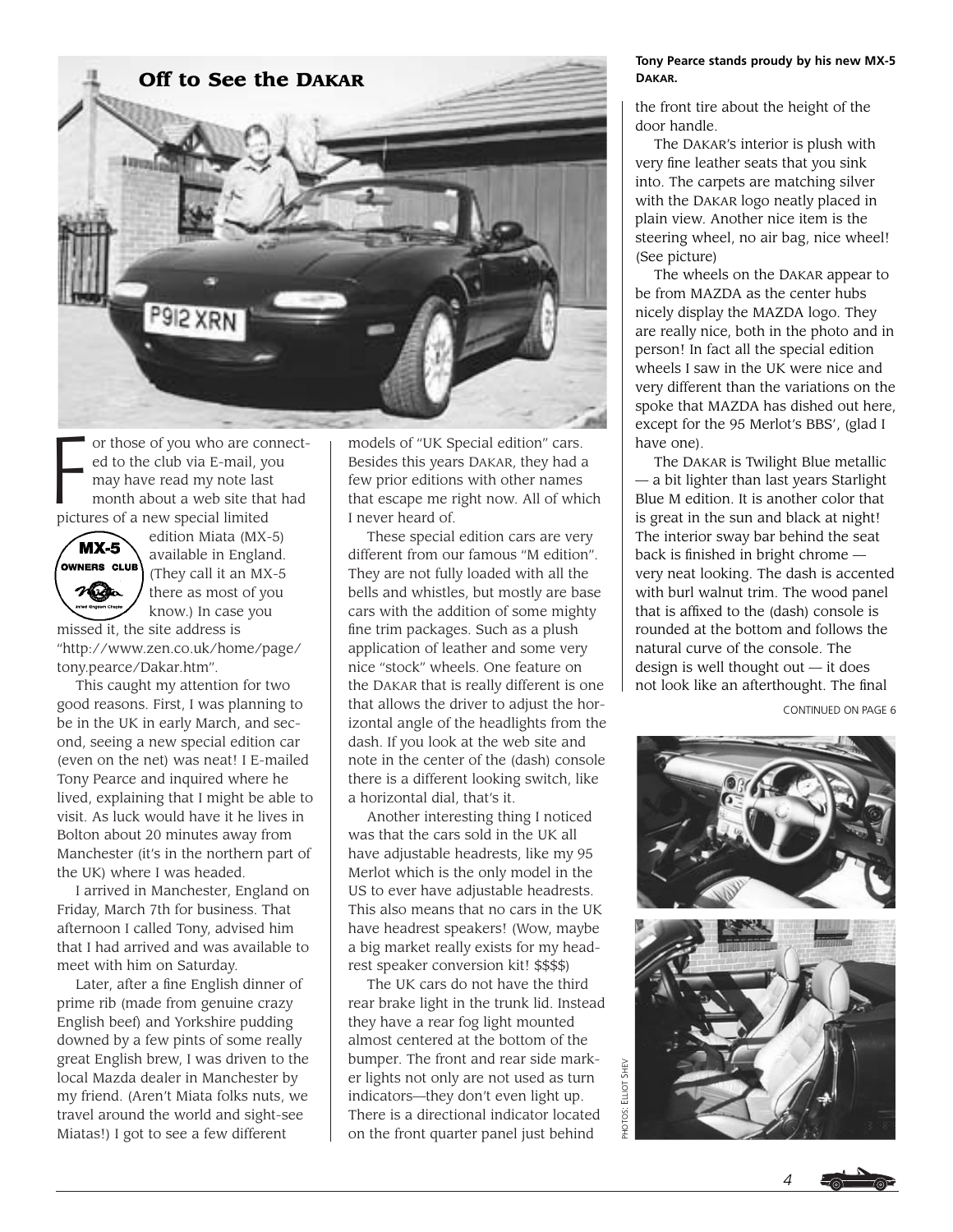![](_page_3_Picture_0.jpeg)

F or those of you who are connected to the club via E-mail, you may have read my note last month about a web site that had pictures of a new special limited

![](_page_3_Picture_2.jpeg)

edition Miata (MX-5) available in England. (They call it an MX-5 there as most of you know.) In case you

missed it, the site address is "http://www.zen.co.uk/home/page/ tony.pearce/Dakar.htm".

This caught my attention for two good reasons. First, I was planning to be in the UK in early March, and second, seeing a new special edition car (even on the net) was neat! I E-mailed Tony Pearce and inquired where he lived, explaining that I might be able to visit. As luck would have it he lives in Bolton about 20 minutes away from Manchester (it's in the northern part of the UK) where I was headed.

I arrived in Manchester, England on Friday, March 7th for business. That afternoon I called Tony, advised him that I had arrived and was available to meet with him on Saturday.

Later, after a fine English dinner of prime rib (made from genuine crazy English beef) and Yorkshire pudding downed by a few pints of some really great English brew, I was driven to the local Mazda dealer in Manchester by my friend. (Aren't Miata folks nuts, we travel around the world and sight-see Miatas!) I got to see a few different

models of "UK Special edition" cars. Besides this years DAKAR, they had a few prior editions with other names that escape me right now. All of which I never heard of.

These special edition cars are very different from our famous "M edition". They are not fully loaded with all the bells and whistles, but mostly are base cars with the addition of some mighty fine trim packages. Such as a plush application of leather and some very nice "stock" wheels. One feature on the DAKAR that is really different is one that allows the driver to adjust the horizontal angle of the headlights from the dash. If you look at the web site and note in the center of the (dash) console there is a different looking switch, like a horizontal dial, that's it.

Another interesting thing I noticed was that the cars sold in the UK all have adjustable headrests, like my 95 Merlot which is the only model in the US to ever have adjustable headrests. This also means that no cars in the UK have headrest speakers! (Wow, maybe a big market really exists for my headrest speaker conversion kit! \$\$\$\$)

The UK cars do not have the third rear brake light in the trunk lid. Instead they have a rear fog light mounted almost centered at the bottom of the bumper. The front and rear side marker lights not only are not used as turn indicators—they don't even light up. There is a directional indicator located on the front quarter panel just behind

#### **Tony Pearce stands proudy by his new MX-5 DAKAR.**

the front tire about the height of the door handle.

The DAKAR's interior is plush with very fine leather seats that you sink into. The carpets are matching silver with the DAKAR logo neatly placed in plain view. Another nice item is the steering wheel, no air bag, nice wheel! (See picture)

The wheels on the DAKAR appear to be from MAZDA as the center hubs nicely display the MAZDA logo. They are really nice, both in the photo and in person! In fact all the special edition wheels I saw in the UK were nice and very different than the variations on the spoke that MAZDA has dished out here, except for the 95 Merlot's BBS', (glad I have one).

The DAKAR is Twilight Blue metallic — a bit lighter than last years Starlight Blue M edition. It is another color that is great in the sun and black at night! The interior sway bar behind the seat back is finished in bright chrome very neat looking. The dash is accented with burl walnut trim. The wood panel that is affixed to the (dash) console is rounded at the bottom and follows the natural curve of the console. The design is well thought out — it does not look like an afterthought. The final

CONTINUED ON PAGE 6

![](_page_3_Picture_18.jpeg)

![](_page_3_Picture_19.jpeg)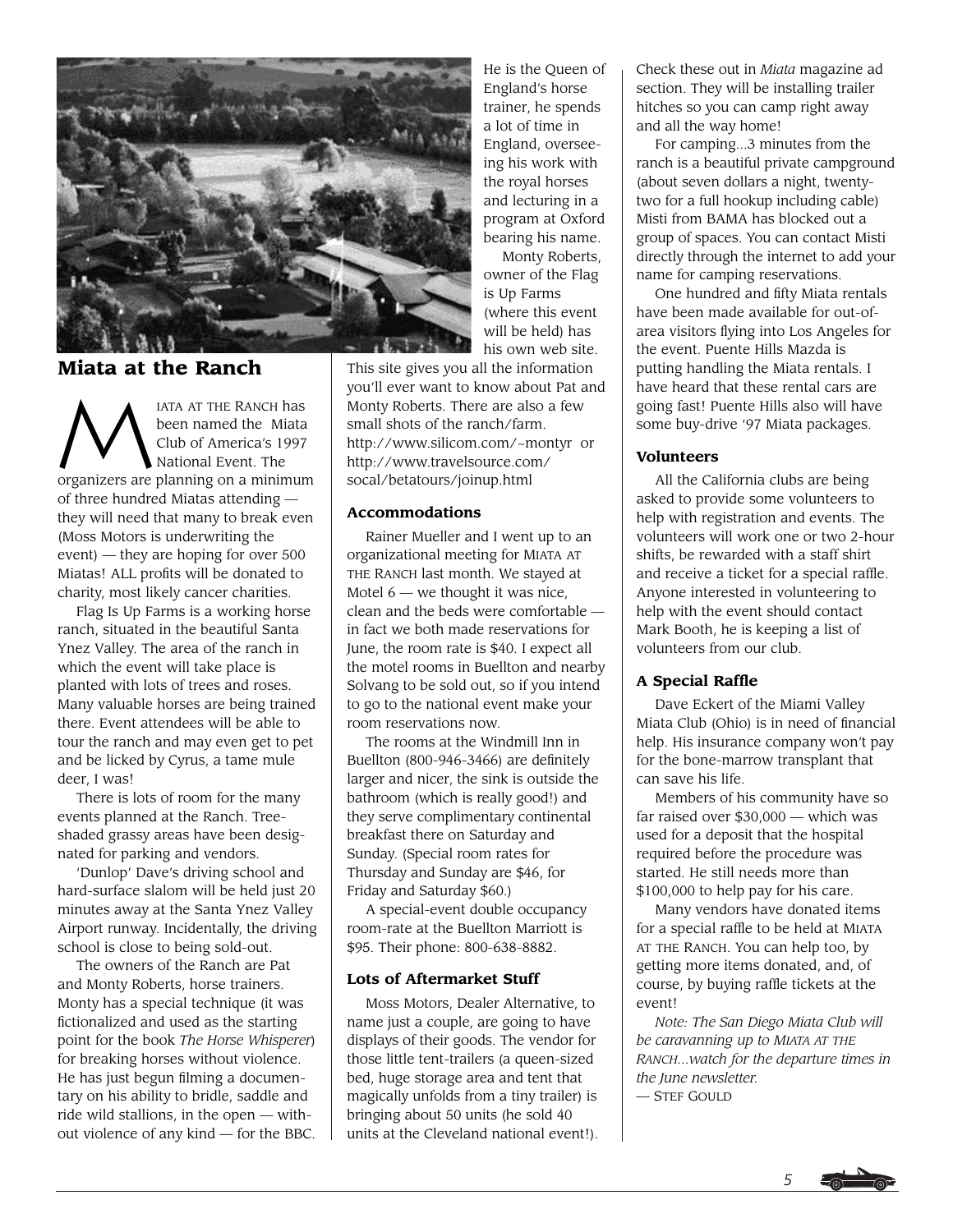![](_page_4_Picture_0.jpeg)

# **Miata at the Ranch**

MARIA AT THE RANCH has<br>been named the Miata<br>Club of America's 1997<br>National Event. The been named the Miata Club of America's 1997 National Event. The organizers are planning on a minimum of three hundred Miatas attending they will need that many to break even (Moss Motors is underwriting the event) — they are hoping for over 500 Miatas! ALL profits will be donated to charity, most likely cancer charities.

Flag Is Up Farms is a working horse ranch, situated in the beautiful Santa Ynez Valley. The area of the ranch in which the event will take place is planted with lots of trees and roses. Many valuable horses are being trained there. Event attendees will be able to tour the ranch and may even get to pet and be licked by Cyrus, a tame mule deer, I was!

There is lots of room for the many events planned at the Ranch. Treeshaded grassy areas have been designated for parking and vendors.

'Dunlop' Dave's driving school and hard-surface slalom will be held just 20 minutes away at the Santa Ynez Valley Airport runway. Incidentally, the driving school is close to being sold-out.

The owners of the Ranch are Pat and Monty Roberts, horse trainers. Monty has a special technique (it was fictionalized and used as the starting point for the book *The Horse Whisperer*) for breaking horses without violence. He has just begun filming a documentary on his ability to bridle, saddle and ride wild stallions, in the open — without violence of any kind — for the BBC.

He is the Queen of England's horse trainer, he spends a lot of time in England, overseeing his work with the royal horses and lecturing in a program at Oxford bearing his name.

Monty Roberts, owner of the Flag is Up Farms (where this event will be held) has his own web site.

This site gives you all the information you'll ever want to know about Pat and Monty Roberts. There are also a few small shots of the ranch/farm. http://www.silicom.com/~montyr or http://www.travelsource.com/ socal/betatours/joinup.html

## **Accommodations**

Rainer Mueller and I went up to an organizational meeting for MIATA AT THE RANCH last month. We stayed at Motel  $6$  — we thought it was nice, clean and the beds were comfortable in fact we both made reservations for June, the room rate is \$40. I expect all the motel rooms in Buellton and nearby Solvang to be sold out, so if you intend to go to the national event make your room reservations now.

The rooms at the Windmill Inn in Buellton (800-946-3466) are definitely larger and nicer, the sink is outside the bathroom (which is really good!) and they serve complimentary continental breakfast there on Saturday and Sunday. (Special room rates for Thursday and Sunday are \$46, for Friday and Saturday \$60.)

A special-event double occupancy room-rate at the Buellton Marriott is \$95. Their phone: 800-638-8882.

## **Lots of Aftermarket Stuff**

Moss Motors, Dealer Alternative, to name just a couple, are going to have displays of their goods. The vendor for those little tent-trailers (a queen-sized bed, huge storage area and tent that magically unfolds from a tiny trailer) is bringing about 50 units (he sold 40 units at the Cleveland national event!). Check these out in *Miata* magazine ad section. They will be installing trailer hitches so you can camp right away and all the way home!

For camping...3 minutes from the ranch is a beautiful private campground (about seven dollars a night, twentytwo for a full hookup including cable) Misti from BAMA has blocked out a group of spaces. You can contact Misti directly through the internet to add your name for camping reservations.

One hundred and fifty Miata rentals have been made available for out-ofarea visitors flying into Los Angeles for the event. Puente Hills Mazda is putting handling the Miata rentals. I have heard that these rental cars are going fast! Puente Hills also will have some buy-drive '97 Miata packages.

## **Volunteers**

All the California clubs are being asked to provide some volunteers to help with registration and events. The volunteers will work one or two 2-hour shifts, be rewarded with a staff shirt and receive a ticket for a special raffle. Anyone interested in volunteering to help with the event should contact Mark Booth, he is keeping a list of volunteers from our club.

## **A Special Raffle**

Dave Eckert of the Miami Valley Miata Club (Ohio) is in need of financial help. His insurance company won't pay for the bone-marrow transplant that can save his life.

Members of his community have so far raised over \$30,000 — which was used for a deposit that the hospital required before the procedure was started. He still needs more than \$100,000 to help pay for his care.

Many vendors have donated items for a special raffle to be held at MIATA AT THE RANCH. You can help too, by getting more items donated, and, of course, by buying raffle tickets at the event!

*Note: The San Diego Miata Club will be caravanning up to MIATA AT THE RANCH...watch for the departure times in the June newsletter.* — STEF GOULD

![](_page_4_Picture_26.jpeg)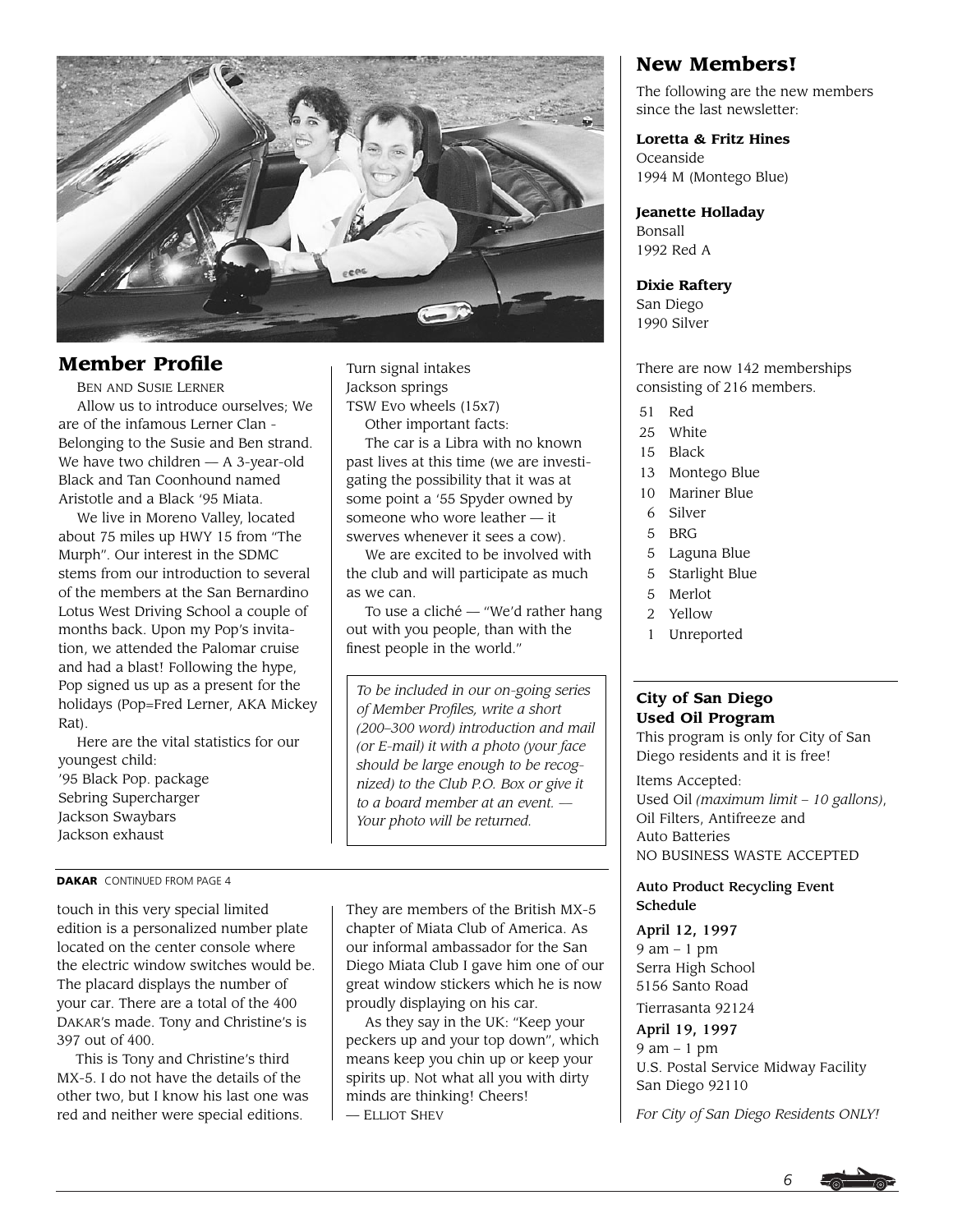![](_page_5_Picture_0.jpeg)

# **Member Profile**

BEN AND SUSIE LERNER Allow us to introduce ourselves; We are of the infamous Lerner Clan - Belonging to the Susie and Ben strand. We have two children — A 3-year-old Black and Tan Coonhound named Aristotle and a Black '95 Miata.

We live in Moreno Valley, located about 75 miles up HWY 15 from "The Murph". Our interest in the SDMC stems from our introduction to several of the members at the San Bernardino Lotus West Driving School a couple of months back. Upon my Pop's invitation, we attended the Palomar cruise and had a blast! Following the hype, Pop signed us up as a present for the holidays (Pop=Fred Lerner, AKA Mickey Rat).

Here are the vital statistics for our youngest child: '95 Black Pop. package Sebring Supercharger Jackson Swaybars Jackson exhaust

#### **DAKAR** CONTINUED FROM PAGE 4

touch in this very special limited edition is a personalized number plate located on the center console where the electric window switches would be. The placard displays the number of your car. There are a total of the 400 DAKAR's made. Tony and Christine's is 397 out of 400.

This is Tony and Christine's third MX-5. I do not have the details of the other two, but I know his last one was red and neither were special editions.

Turn signal intakes Jackson springs TSW Evo wheels (15x7) Other important facts:

The car is a Libra with no known past lives at this time (we are investigating the possibility that it was at some point a '55 Spyder owned by someone who wore leather — it swerves whenever it sees a cow).

We are excited to be involved with the club and will participate as much as we can.

To use a cliché — "We'd rather hang out with you people, than with the finest people in the world."

*To be included in our on-going series of Member Profiles, write a short (200–300 word) introduction and mail (or E-mail) it with a photo (your face should be large enough to be recognized) to the Club P.O. Box or give it to a board member at an event. — Your photo will be returned.*

They are members of the British MX-5 chapter of Miata Club of America. As our informal ambassador for the San Diego Miata Club I gave him one of our great window stickers which he is now proudly displaying on his car.

As they say in the UK: "Keep your peckers up and your top down", which means keep you chin up or keep your spirits up. Not what all you with dirty minds are thinking! Cheers! — ELLIOT SHEV

# **New Members!**

The following are the new members since the last newsletter:

#### **Loretta & Fritz Hines**

Oceanside 1994 M (Montego Blue)

**Jeanette Holladay** Bonsall 1992 Red A

**Dixie Raftery** San Diego 1990 Silver

There are now 142 memberships consisting of 216 members.

- 51 Red
- 25 White
- 15 Black
- 13 Montego Blue
- 10 Mariner Blue
- 6 Silver
- 5 BRG
- 5 Laguna Blue
- 5 Starlight Blue
- 5 Merlot
- 2 Yellow
- 1 Unreported

## **City of San Diego Used Oil Program**

This program is only for City of San Diego residents and it is free!

Items Accepted: Used Oil *(maximum limit – 10 gallons)*, Oil Filters, Antifreeze and Auto Batteries NO BUSINESS WASTE ACCEPTED

## Auto Product Recycling Event Schedule

#### April 12, 1997

9 am – 1 pm Serra High School 5156 Santo Road Tierrasanta 92124

## April 19, 1997

9 am – 1 pm U.S. Postal Service Midway Facility San Diego 92110

*For City of San Diego Residents ONLY!*

![](_page_5_Picture_43.jpeg)